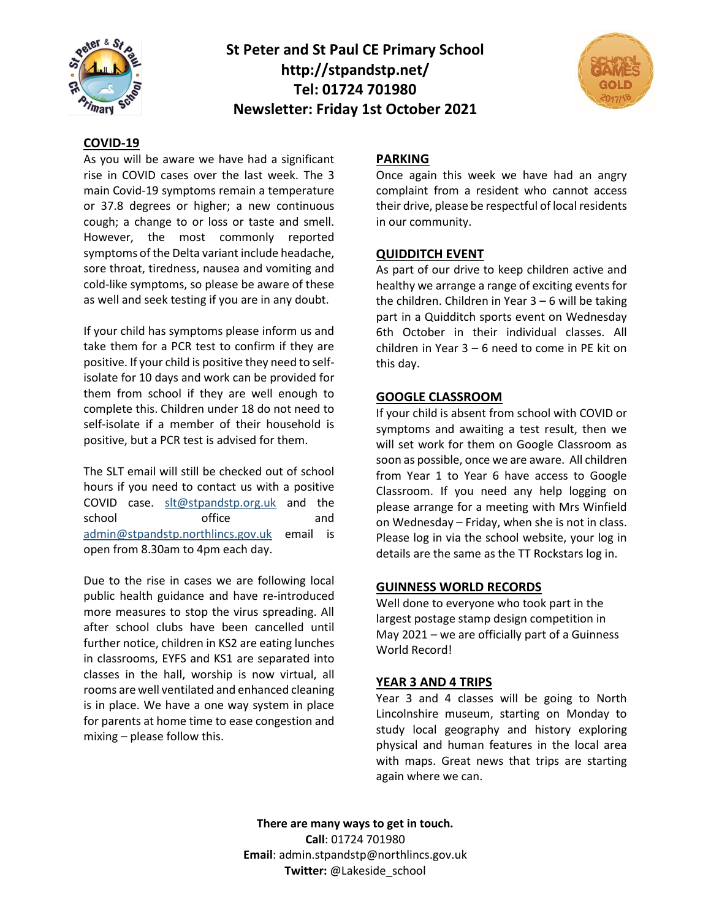

**St Peter and St Paul CE Primary School http://stpandstp.net/ Tel: 01724 701980 Newsletter: Friday 1st October 2021**



#### **COVID-19**

As you will be aware we have had a significant rise in COVID cases over the last week. The 3 main Covid-19 symptoms remain a temperature or 37.8 degrees or higher; a new continuous cough; a change to or loss or taste and smell. However, the most commonly reported symptoms of the Delta variant include headache, sore throat, tiredness, nausea and vomiting and cold-like symptoms, so please be aware of these as well and seek testing if you are in any doubt.

If your child has symptoms please inform us and take them for a PCR test to confirm if they are positive. If your child is positive they need to selfisolate for 10 days and work can be provided for them from school if they are well enough to complete this. Children under 18 do not need to self-isolate if a member of their household is positive, but a PCR test is advised for them.

The SLT email will still be checked out of school hours if you need to contact us with a positive COVID case. [slt@stpandstp.org.uk](mailto:slt@stpandstp.org.uk) and the school office and admin@stpandstp.northlincs.gov.uk email is open from 8.30am to 4pm each day.

Due to the rise in cases we are following local public health guidance and have re-introduced more measures to stop the virus spreading. All after school clubs have been cancelled until further notice, children in KS2 are eating lunches in classrooms, EYFS and KS1 are separated into classes in the hall, worship is now virtual, all rooms are well ventilated and enhanced cleaning is in place. We have a one way system in place for parents at home time to ease congestion and mixing – please follow this.

### **PARKING**

Once again this week we have had an angry complaint from a resident who cannot access their drive, please be respectful of local residents in our community.

#### **QUIDDITCH EVENT**

As part of our drive to keep children active and healthy we arrange a range of exciting events for the children. Children in Year  $3 - 6$  will be taking part in a Quidditch sports event on Wednesday 6th October in their individual classes. All children in Year 3 – 6 need to come in PE kit on this day.

#### **GOOGLE CLASSROOM**

If your child is absent from school with COVID or symptoms and awaiting a test result, then we will set work for them on Google Classroom as soon as possible, once we are aware. All children from Year 1 to Year 6 have access to Google Classroom. If you need any help logging on please arrange for a meeting with Mrs Winfield on Wednesday – Friday, when she is not in class. Please log in via the school website, your log in details are the same as the TT Rockstars log in.

#### **GUINNESS WORLD RECORDS**

Well done to everyone who took part in the largest postage stamp design competition in May 2021 – we are officially part of a Guinness World Record!

#### **YEAR 3 AND 4 TRIPS**

Year 3 and 4 classes will be going to North Lincolnshire museum, starting on Monday to study local geography and history exploring physical and human features in the local area with maps. Great news that trips are starting again where we can.

**There are many ways to get in touch. Call**: 01724 701980 **Email**: admin.stpandstp@northlincs.gov.uk **Twitter:** @Lakeside\_school